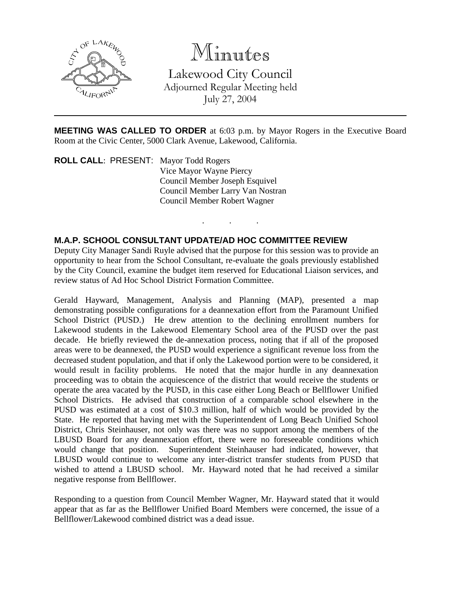

# Minutes

Lakewood City Council Adjourned Regular Meeting held July 27, 2004

**MEETING WAS CALLED TO ORDER** at 6:03 p.m. by Mayor Rogers in the Executive Board Room at the Civic Center, 5000 Clark Avenue, Lakewood, California.

. . .

**ROLL CALL**: PRESENT: Mayor Todd Rogers Vice Mayor Wayne Piercy Council Member Joseph Esquivel Council Member Larry Van Nostran Council Member Robert Wagner

#### **M.A.P. SCHOOL CONSULTANT UPDATE/AD HOC COMMITTEE REVIEW**

Deputy City Manager Sandi Ruyle advised that the purpose for this session was to provide an opportunity to hear from the School Consultant, re-evaluate the goals previously established by the City Council, examine the budget item reserved for Educational Liaison services, and review status of Ad Hoc School District Formation Committee.

Gerald Hayward, Management, Analysis and Planning (MAP), presented a map demonstrating possible configurations for a deannexation effort from the Paramount Unified School District (PUSD.) He drew attention to the declining enrollment numbers for Lakewood students in the Lakewood Elementary School area of the PUSD over the past decade. He briefly reviewed the de-annexation process, noting that if all of the proposed areas were to be deannexed, the PUSD would experience a significant revenue loss from the decreased student population, and that if only the Lakewood portion were to be considered, it would result in facility problems. He noted that the major hurdle in any deannexation proceeding was to obtain the acquiescence of the district that would receive the students or operate the area vacated by the PUSD, in this case either Long Beach or Bellflower Unified School Districts. He advised that construction of a comparable school elsewhere in the PUSD was estimated at a cost of \$10.3 million, half of which would be provided by the State. He reported that having met with the Superintendent of Long Beach Unified School District, Chris Steinhauser, not only was there was no support among the members of the LBUSD Board for any deannexation effort, there were no foreseeable conditions which would change that position. Superintendent Steinhauser had indicated, however, that LBUSD would continue to welcome any inter-district transfer students from PUSD that wished to attend a LBUSD school. Mr. Hayward noted that he had received a similar negative response from Bellflower.

Responding to a question from Council Member Wagner, Mr. Hayward stated that it would appear that as far as the Bellflower Unified Board Members were concerned, the issue of a Bellflower/Lakewood combined district was a dead issue.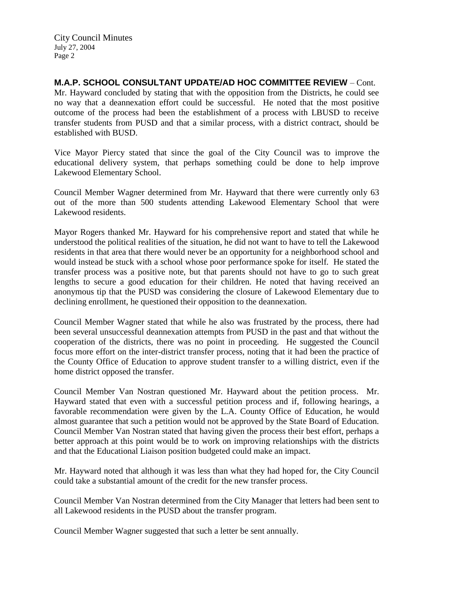**M.A.P. SCHOOL CONSULTANT UPDATE/AD HOC COMMITTEE REVIEW** – Cont. Mr. Hayward concluded by stating that with the opposition from the Districts, he could see no way that a deannexation effort could be successful. He noted that the most positive outcome of the process had been the establishment of a process with LBUSD to receive transfer students from PUSD and that a similar process, with a district contract, should be established with BUSD.

Vice Mayor Piercy stated that since the goal of the City Council was to improve the educational delivery system, that perhaps something could be done to help improve Lakewood Elementary School.

Council Member Wagner determined from Mr. Hayward that there were currently only 63 out of the more than 500 students attending Lakewood Elementary School that were Lakewood residents.

Mayor Rogers thanked Mr. Hayward for his comprehensive report and stated that while he understood the political realities of the situation, he did not want to have to tell the Lakewood residents in that area that there would never be an opportunity for a neighborhood school and would instead be stuck with a school whose poor performance spoke for itself. He stated the transfer process was a positive note, but that parents should not have to go to such great lengths to secure a good education for their children. He noted that having received an anonymous tip that the PUSD was considering the closure of Lakewood Elementary due to declining enrollment, he questioned their opposition to the deannexation.

Council Member Wagner stated that while he also was frustrated by the process, there had been several unsuccessful deannexation attempts from PUSD in the past and that without the cooperation of the districts, there was no point in proceeding. He suggested the Council focus more effort on the inter-district transfer process, noting that it had been the practice of the County Office of Education to approve student transfer to a willing district, even if the home district opposed the transfer.

Council Member Van Nostran questioned Mr. Hayward about the petition process. Mr. Hayward stated that even with a successful petition process and if, following hearings, a favorable recommendation were given by the L.A. County Office of Education, he would almost guarantee that such a petition would not be approved by the State Board of Education. Council Member Van Nostran stated that having given the process their best effort, perhaps a better approach at this point would be to work on improving relationships with the districts and that the Educational Liaison position budgeted could make an impact.

Mr. Hayward noted that although it was less than what they had hoped for, the City Council could take a substantial amount of the credit for the new transfer process.

Council Member Van Nostran determined from the City Manager that letters had been sent to all Lakewood residents in the PUSD about the transfer program.

Council Member Wagner suggested that such a letter be sent annually.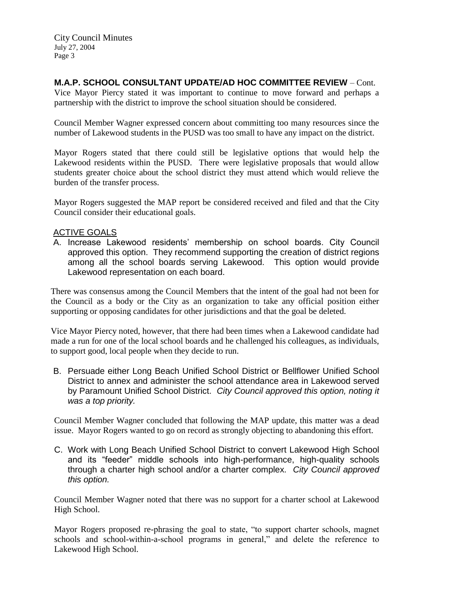City Council Minutes July 27, 2004 Page 3

## **M.A.P. SCHOOL CONSULTANT UPDATE/AD HOC COMMITTEE REVIEW** – Cont.

Vice Mayor Piercy stated it was important to continue to move forward and perhaps a partnership with the district to improve the school situation should be considered.

Council Member Wagner expressed concern about committing too many resources since the number of Lakewood students in the PUSD was too small to have any impact on the district.

Mayor Rogers stated that there could still be legislative options that would help the Lakewood residents within the PUSD. There were legislative proposals that would allow students greater choice about the school district they must attend which would relieve the burden of the transfer process.

Mayor Rogers suggested the MAP report be considered received and filed and that the City Council consider their educational goals.

#### ACTIVE GOALS

A. Increase Lakewood residents' membership on school boards. City Council approved this option. They recommend supporting the creation of district regions among all the school boards serving Lakewood. This option would provide Lakewood representation on each board.

There was consensus among the Council Members that the intent of the goal had not been for the Council as a body or the City as an organization to take any official position either supporting or opposing candidates for other jurisdictions and that the goal be deleted.

Vice Mayor Piercy noted, however, that there had been times when a Lakewood candidate had made a run for one of the local school boards and he challenged his colleagues, as individuals, to support good, local people when they decide to run.

B. Persuade either Long Beach Unified School District or Bellflower Unified School District to annex and administer the school attendance area in Lakewood served by Paramount Unified School District. *City Council approved this option, noting it was a top priority.*

Council Member Wagner concluded that following the MAP update, this matter was a dead issue. Mayor Rogers wanted to go on record as strongly objecting to abandoning this effort.

C. Work with Long Beach Unified School District to convert Lakewood High School and its "feeder" middle schools into high-performance, high-quality schools through a charter high school and/or a charter complex. *City Council approved this option.*

Council Member Wagner noted that there was no support for a charter school at Lakewood High School.

Mayor Rogers proposed re-phrasing the goal to state, "to support charter schools, magnet schools and school-within-a-school programs in general," and delete the reference to Lakewood High School.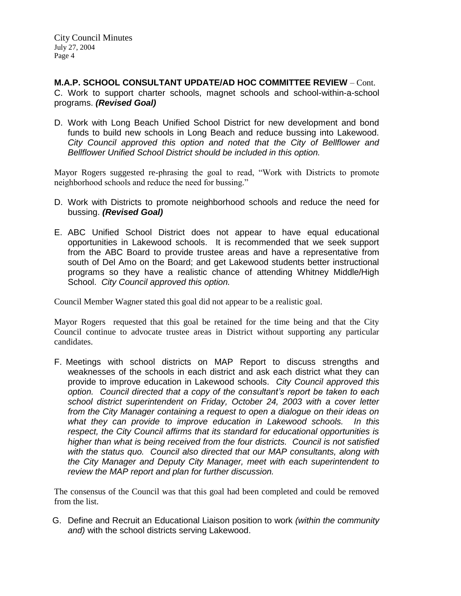**M.A.P. SCHOOL CONSULTANT UPDATE/AD HOC COMMITTEE REVIEW** – Cont. C. Work to support charter schools, magnet schools and school-within-a-school programs. *(Revised Goal)*

D. Work with Long Beach Unified School District for new development and bond funds to build new schools in Long Beach and reduce bussing into Lakewood. *City Council approved this option and noted that the City of Bellflower and Bellflower Unified School District should be included in this option.*

Mayor Rogers suggested re-phrasing the goal to read, "Work with Districts to promote neighborhood schools and reduce the need for bussing."

- D. Work with Districts to promote neighborhood schools and reduce the need for bussing. *(Revised Goal)*
- E. ABC Unified School District does not appear to have equal educational opportunities in Lakewood schools. It is recommended that we seek support from the ABC Board to provide trustee areas and have a representative from south of Del Amo on the Board; and get Lakewood students better instructional programs so they have a realistic chance of attending Whitney Middle/High School. *City Council approved this option.*

Council Member Wagner stated this goal did not appear to be a realistic goal.

Mayor Rogers requested that this goal be retained for the time being and that the City Council continue to advocate trustee areas in District without supporting any particular candidates.

F. Meetings with school districts on MAP Report to discuss strengths and weaknesses of the schools in each district and ask each district what they can provide to improve education in Lakewood schools. *City Council approved this option. Council directed that a copy of the consultant's report be taken to each school district superintendent on Friday, October 24, 2003 with a cover letter from the City Manager containing a request to open a dialogue on their ideas on what they can provide to improve education in Lakewood schools. In this respect, the City Council affirms that its standard for educational opportunities is higher than what is being received from the four districts. Council is not satisfied with the status quo. Council also directed that our MAP consultants, along with the City Manager and Deputy City Manager, meet with each superintendent to review the MAP report and plan for further discussion.*

The consensus of the Council was that this goal had been completed and could be removed from the list.

G. Define and Recruit an Educational Liaison position to work *(within the community and)* with the school districts serving Lakewood.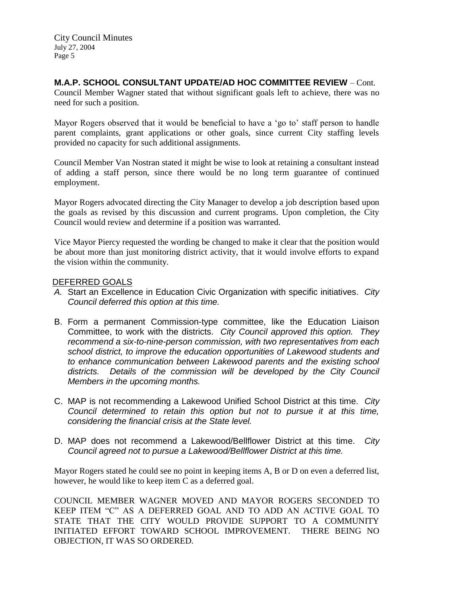### **M.A.P. SCHOOL CONSULTANT UPDATE/AD HOC COMMITTEE REVIEW** – Cont.

Council Member Wagner stated that without significant goals left to achieve, there was no need for such a position.

Mayor Rogers observed that it would be beneficial to have a 'go to' staff person to handle parent complaints, grant applications or other goals, since current City staffing levels provided no capacity for such additional assignments.

Council Member Van Nostran stated it might be wise to look at retaining a consultant instead of adding a staff person, since there would be no long term guarantee of continued employment.

Mayor Rogers advocated directing the City Manager to develop a job description based upon the goals as revised by this discussion and current programs. Upon completion, the City Council would review and determine if a position was warranted.

Vice Mayor Piercy requested the wording be changed to make it clear that the position would be about more than just monitoring district activity, that it would involve efforts to expand the vision within the community.

#### DEFERRED GOALS

- *A.* Start an Excellence in Education Civic Organization with specific initiatives. *City Council deferred this option at this time.*
- B. Form a permanent Commission-type committee, like the Education Liaison Committee, to work with the districts. *City Council approved this option. They recommend a six-to-nine-person commission, with two representatives from each school district, to improve the education opportunities of Lakewood students and to enhance communication between Lakewood parents and the existing school*  districts. Details of the commission will be developed by the City Council *Members in the upcoming months.*
- C. MAP is not recommending a Lakewood Unified School District at this time. *City Council determined to retain this option but not to pursue it at this time, considering the financial crisis at the State level.*
- D. MAP does not recommend a Lakewood/Bellflower District at this time. *City Council agreed not to pursue a Lakewood/Bellflower District at this time.*

Mayor Rogers stated he could see no point in keeping items A, B or D on even a deferred list, however, he would like to keep item C as a deferred goal.

COUNCIL MEMBER WAGNER MOVED AND MAYOR ROGERS SECONDED TO KEEP ITEM "C" AS A DEFERRED GOAL AND TO ADD AN ACTIVE GOAL TO STATE THAT THE CITY WOULD PROVIDE SUPPORT TO A COMMUNITY INITIATED EFFORT TOWARD SCHOOL IMPROVEMENT. THERE BEING NO OBJECTION, IT WAS SO ORDERED.